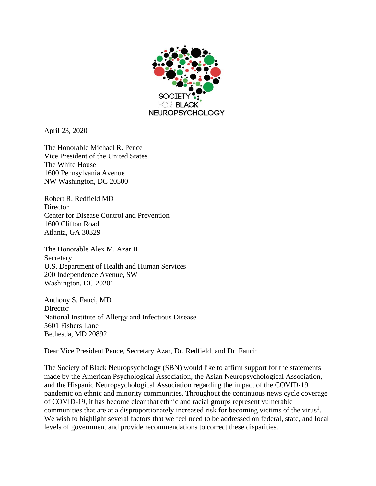

April 23, 2020

The Honorable Michael R. Pence Vice President of the United States The White House 1600 Pennsylvania Avenue NW Washington, DC 20500

Robert R. Redfield MD **Director** Center for Disease Control and Prevention 1600 Clifton Road Atlanta, GA 30329

The Honorable Alex M. Azar II **Secretary** U.S. Department of Health and Human Services 200 Independence Avenue, SW Washington, DC 20201

Anthony S. Fauci, MD **Director** National Institute of Allergy and Infectious Disease 5601 Fishers Lane Bethesda, MD 20892

Dear Vice President Pence, Secretary Azar, Dr. Redfield, and Dr. Fauci:

The Society of Black Neuropsychology (SBN) would like to affirm support for the statements made by the American Psychological Association, the Asian Neuropsychological Association, and the Hispanic Neuropsychological Association regarding the impact of the COVID-19 pandemic on ethnic and minority communities. Throughout the continuous news cycle coverage of COVID-19, it has become clear that ethnic and racial groups represent vulnerable communities that are at a disproportionately increased risk for becoming victims of the virus<sup>1</sup>. We wish to highlight several factors that we feel need to be addressed on federal, state, and local levels of government and provide recommendations to correct these disparities.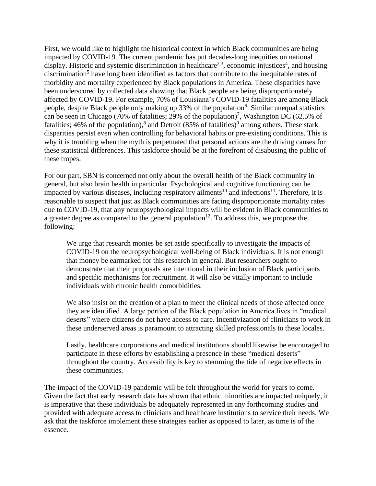First, we would like to highlight the historical context in which Black communities are being impacted by COVID-19. The current pandemic has put decades-long inequities on national display. Historic and systemic discrimination in healthcare<sup>2,3</sup>, economic injustices<sup>4</sup>, and housing discrimination<sup>5</sup> have long been identified as factors that contribute to the inequitable rates of morbidity and mortality experienced by Black populations in America. These disparities have been underscored by collected data showing that Black people are being disproportionately affected by COVID-19. For example, 70% of Louisiana's COVID-19 fatalities are among Black people, despite Black people only making up 33% of the population<sup>6</sup>. Similar unequal statistics can be seen in Chicago (70% of fatalities; 29% of the population)<sup>7</sup>, Washington DC (62.5% of fatalities; 46% of the population),<sup>8</sup> and Detroit (85% of fatalities)<sup>9</sup> among others. These stark disparities persist even when controlling for behavioral habits or pre-existing conditions. This is why it is troubling when the myth is perpetuated that personal actions are the driving causes for these statistical differences. This taskforce should be at the forefront of disabusing the public of these tropes.

For our part, SBN is concerned not only about the overall health of the Black community in general, but also brain health in particular. Psychological and cognitive functioning can be impacted by various diseases, including respiratory ailments<sup>10</sup> and infections<sup>11</sup>. Therefore, it is reasonable to suspect that just as Black communities are facing disproportionate mortality rates due to COVID-19, that any neuropsychological impacts will be evident in Black communities to a greater degree as compared to the general population<sup>12</sup>. To address this, we propose the following:

We urge that research monies be set aside specifically to investigate the impacts of COVID-19 on the neuropsychological well-being of Black individuals. It is not enough that money be earmarked for this research in general. But researchers ought to demonstrate that their proposals are intentional in their inclusion of Black participants and specific mechanisms for recruitment. It will also be vitally important to include individuals with chronic health comorbidities.

We also insist on the creation of a plan to meet the clinical needs of those affected once they are identified. A large portion of the Black population in America lives in "medical deserts" where citizens do not have access to care. Incentivization of clinicians to work in these underserved areas is paramount to attracting skilled professionals to these locales.

Lastly, healthcare corporations and medical institutions should likewise be encouraged to participate in these efforts by establishing a presence in these "medical deserts" throughout the country. Accessibility is key to stemming the tide of negative effects in these communities.

The impact of the COVID-19 pandemic will be felt throughout the world for years to come. Given the fact that early research data has shown that ethnic minorities are impacted uniquely, it is imperative that these individuals be adequately represented in any forthcoming studies and provided with adequate access to clinicians and healthcare institutions to service their needs. We ask that the taskforce implement these strategies earlier as opposed to later, as time is of the essence.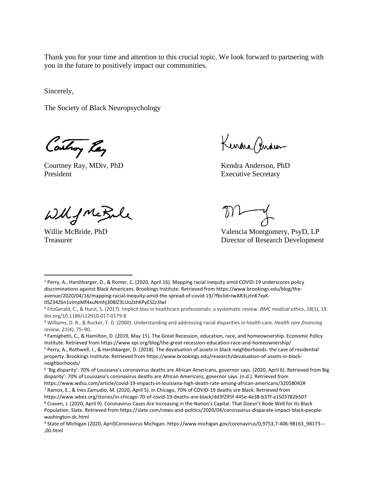Thank you for your time and attention to this crucial topic. We look forward to partnering with you in the future to positively impact our communities.

Sincerely,

The Society of Black Neuropsychology

Controy Ray

Courtney Ray, MDiv, PhD Kendra Anderson, PhD President **Executive Secretary** Executive Secretary

Kendra Gendeer

Wilfmetale

Willie McBride, PhD Valencia Montgomery, PsyD, LP Treasurer **Director of Research Development** 

<sup>1</sup> Perry, A., Harshbarger, D., & Romer, C. (2020, April 16). Mapping racial inequity amid COVID-19 underscores policy discriminations against Black Americans. Brookings Institute. Retrieved from https://www.brookings.edu/blog/theavenue/2020/04/16/mapping-racial-inequity-amid-the-spread-of-covid-19/?fbclid=IwAR3LztnK7xyKtlSZ34Z6n1vImpMf4xuNmhj30BlZ3LUoZzhKPyESZz3lwI

<sup>2</sup> FitzGerald, C., & Hurst, S. (2017). Implicit bias in healthcare professionals: a systematic review. *BMC medical ethics*, *18*(1), 19. doi.org/10.1186/s12910-017-0179-8

<sup>3</sup> Williams, D. R., & Rucker, T. D. (2000). Understanding and addressing racial disparities in health care. *Health care financing review*, *21*(4), 75–90.

<sup>4</sup> Famighetti, C., & Hamilton, D. (2019, May 15). The Great Recession, education, race, and homeownership. Economic Policy Institute. Retrieved from https://www.epi.org/blog/the-great-recession-education-race-and-homeownership/

<sup>5</sup> Perry, A., Rothwell, J., & Harshbarger, D. (2018). The devaluation of assets in black neighborhoods: the case of residential property. Brookings Institute. Retrieved from https://www.brookings.edu/research/devaluation-of-assets-in-blackneighborhoods/

<sup>6</sup> 'Big disparity': 70% of Louisiana's coronavirus deaths are African Americans, governor says. (2020, April 6). Retrieved from Big disparity': 70% of Louisiana's coronavirus deaths are African Americans, governor says. (n.d.). Retrieved from

https://www.wdsu.com/article/covid-19-impacts-in-louisiana-high-death-rate-among-african-americans/32058042# <sup>7</sup> Ramos, E., & Ines Zamudio, M. (2020, April 5). In Chicago, 70% of COVID-19 deaths are Black. Retrieved from

https://www.wbez.org/stories/in-chicago-70-of-covid-19-deaths-are-black/dd3f295f-445e-4e38-b37f-a1503782b507 <sup>8</sup> Craven, J. (2020, April 9). Coronavirus Cases Are Increasing in the Nation's Capital. That Doesn't Bode Well for Its Black Population. Slate. Retrieved from https://slate.com/news-and-politics/2020/04/coronavirus-disparate-impact-black-peoplewashington-dc.html

<sup>9</sup> State of Michigan (2020, April)Coronavirus Michigan. https://www.michigan.gov/coronavirus/0,9753,7-406-98163\_98173--- ,00.html